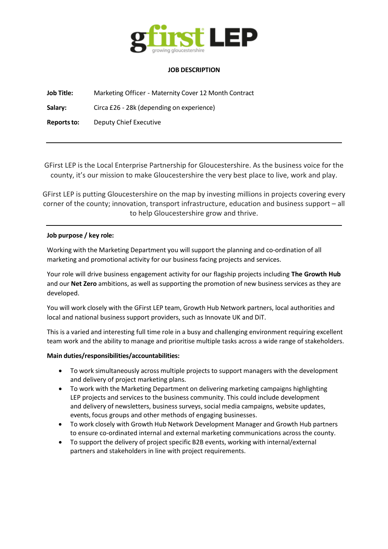

### **JOB DESCRIPTION**

**Job Title:** Marketing Officer - Maternity Cover 12 Month Contract

**Salary:** Circa £26 - 28k (depending on experience)

**Reportsto:** Deputy Chief Executive

GFirst LEP is the Local Enterprise Partnership for Gloucestershire. As the business voice for the county, it's our mission to make Gloucestershire the very best place to live, work and play.

GFirst LEP is putting Gloucestershire on the map by investing millions in projects covering every corner of the county; innovation, transport infrastructure, education and business support – all to help Gloucestershire grow and thrive.

## **Job purpose / key role:**

Working with the Marketing Department you will support the planning and co-ordination of all marketing and promotional activity for our business facing projects and services.

Your role will drive business engagement activity for our flagship projects including **The Growth Hub** and our **Net Zero** ambitions, as well as supporting the promotion of new business services as they are developed.

You will work closely with the GFirst LEP team, Growth Hub Network partners, local authorities and local and national business support providers, such as Innovate UK and DiT.

This is a varied and interesting full time role in a busy and challenging environment requiring excellent team work and the ability to manage and prioritise multiple tasks across a wide range of stakeholders.

## **Main duties/responsibilities/accountabilities:**

- To work simultaneously across multiple projects to support managers with the development and delivery of project marketing plans.
- To work with the Marketing Department on delivering marketing campaigns highlighting LEP projects and services to the business community. This could include development and delivery of newsletters, business surveys, social media campaigns, website updates, events, focus groups and other methods of engaging businesses.
- To work closely with Growth Hub Network Development Manager and Growth Hub partners to ensure co-ordinated internal and external marketing communications across the county.
- To support the delivery of project specific B2B events, working with internal/external partners and stakeholders in line with project requirements.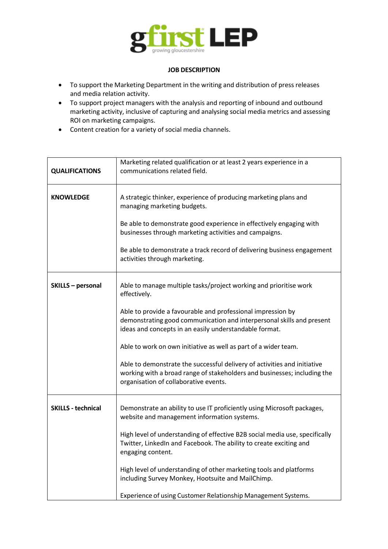

### **JOB DESCRIPTION**

- To support the Marketing Department in the writing and distribution of press releases and media relation activity.
- To support project managers with the analysis and reporting of inbound and outbound marketing activity, inclusive of capturing and analysing social media metrics and assessing ROI on marketing campaigns.
- Content creation for a variety of social media channels.

| <b>QUALIFICATIONS</b>     | Marketing related qualification or at least 2 years experience in a<br>communications related field.                                                                                           |
|---------------------------|------------------------------------------------------------------------------------------------------------------------------------------------------------------------------------------------|
| <b>KNOWLEDGE</b>          | A strategic thinker, experience of producing marketing plans and<br>managing marketing budgets.                                                                                                |
|                           | Be able to demonstrate good experience in effectively engaging with<br>businesses through marketing activities and campaigns.                                                                  |
|                           | Be able to demonstrate a track record of delivering business engagement<br>activities through marketing.                                                                                       |
| SKILLS - personal         | Able to manage multiple tasks/project working and prioritise work<br>effectively.                                                                                                              |
|                           | Able to provide a favourable and professional impression by<br>demonstrating good communication and interpersonal skills and present<br>ideas and concepts in an easily understandable format. |
|                           | Able to work on own initiative as well as part of a wider team.                                                                                                                                |
|                           | Able to demonstrate the successful delivery of activities and initiative<br>working with a broad range of stakeholders and businesses; including the<br>organisation of collaborative events.  |
| <b>SKILLS - technical</b> | Demonstrate an ability to use IT proficiently using Microsoft packages,<br>website and management information systems.                                                                         |
|                           | High level of understanding of effective B2B social media use, specifically<br>Twitter, LinkedIn and Facebook. The ability to create exciting and<br>engaging content.                         |
|                           | High level of understanding of other marketing tools and platforms<br>including Survey Monkey, Hootsuite and MailChimp.                                                                        |
|                           | Experience of using Customer Relationship Management Systems.                                                                                                                                  |